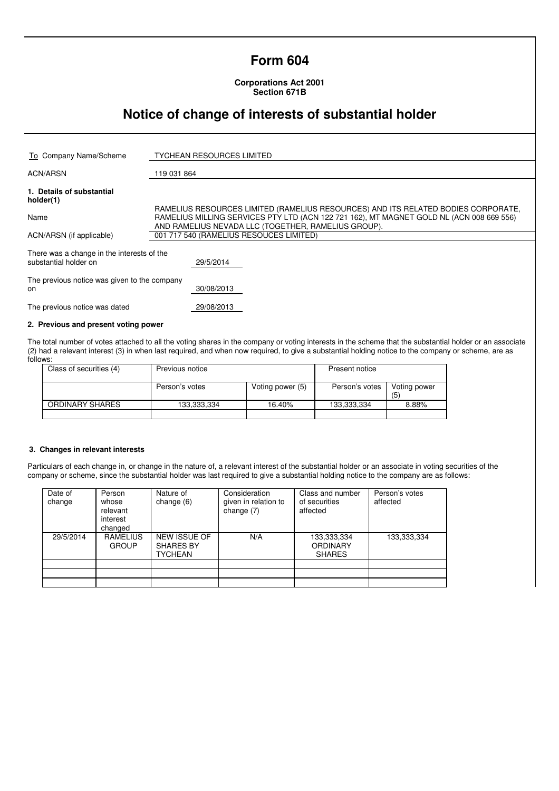# **Form 604**

**Corporations Act 2001 Section 671B** 

# **Notice of change of interests of substantial holder**

| To Company Name/Scheme                                              | <b>TYCHEAN RESOURCES LIMITED</b>                                                         |  |
|---------------------------------------------------------------------|------------------------------------------------------------------------------------------|--|
|                                                                     |                                                                                          |  |
| <b>ACN/ARSN</b>                                                     | 119 031 864                                                                              |  |
| 1. Details of substantial<br>holder(1)                              |                                                                                          |  |
|                                                                     | RAMELIUS RESOURCES LIMITED (RAMELIUS RESOURCES) AND ITS RELATED BODIES CORPORATE.        |  |
| Name                                                                | RAMELIUS MILLING SERVICES PTY LTD (ACN 122 721 162), MT MAGNET GOLD NL (ACN 008 669 556) |  |
|                                                                     | AND RAMELIUS NEVADA LLC (TOGETHER, RAMELIUS GROUP).                                      |  |
| ACN/ARSN (if applicable)                                            | 001 717 540 (RAMELIUS RESOUCES LIMITED)                                                  |  |
| There was a change in the interests of the<br>substantial holder on | 29/5/2014                                                                                |  |
| The previous notice was given to the company<br>on                  | 30/08/2013                                                                               |  |
| The previous notice was dated                                       | 29/08/2013                                                                               |  |

### **2. Previous and present voting power**

The total number of votes attached to all the voting shares in the company or voting interests in the scheme that the substantial holder or an associate (2) had a relevant interest (3) in when last required, and when now required, to give a substantial holding notice to the company or scheme, are as follows:

| Class of securities (4) | Previous notice |                  | Present notice |                     |
|-------------------------|-----------------|------------------|----------------|---------------------|
|                         | Person's votes  | Voting power (5) | Person's votes | Voting power<br>(5) |
| ORDINARY SHARES         | 133,333,334     | 16.40%           | 133,333,334    | 8.88%               |
|                         |                 |                  |                |                     |

### **3. Changes in relevant interests**

Particulars of each change in, or change in the nature of, a relevant interest of the substantial holder or an associate in voting securities of the company or scheme, since the substantial holder was last required to give a substantial holding notice to the company are as follows:

| Date of<br>change | Person<br>whose<br>relevant<br>interest<br>changed | Nature of<br>change $(6)$                   | Consideration<br>given in relation to<br>change $(7)$ | Class and number<br>of securities<br>affected   | Person's votes<br>affected |
|-------------------|----------------------------------------------------|---------------------------------------------|-------------------------------------------------------|-------------------------------------------------|----------------------------|
| 29/5/2014         | <b>RAMELIUS</b><br><b>GROUP</b>                    | NEW ISSUE OF<br><b>SHARES BY</b><br>TYCHEAN | N/A                                                   | 133,333,334<br><b>ORDINARY</b><br><b>SHARES</b> | 133,333,334                |
|                   |                                                    |                                             |                                                       |                                                 |                            |
|                   |                                                    |                                             |                                                       |                                                 |                            |
|                   |                                                    |                                             |                                                       |                                                 |                            |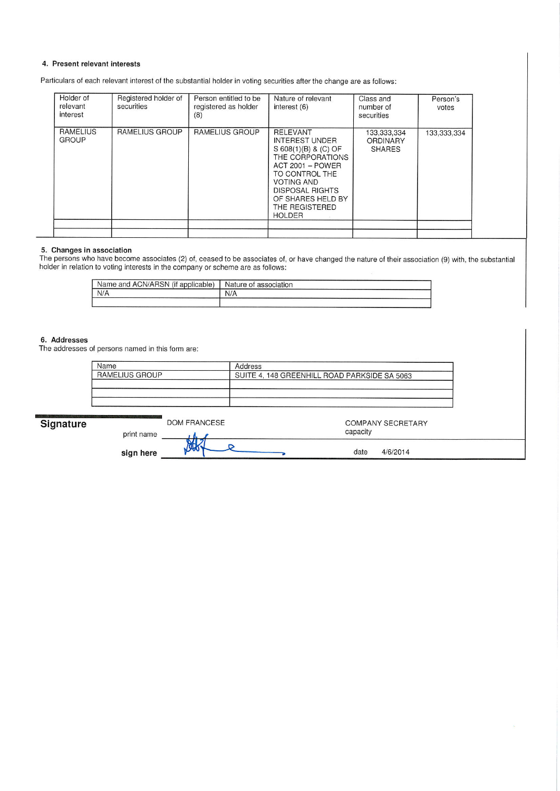#### 4. Present relevant interests

Particulars of each relevant interest of the substantial holder in voting securities after the change are as follows:

| Holder of<br>relevant<br>interest | Registered holder of<br>securities | Person entitled to be<br>registered as holder<br>(8) | Nature of relevant<br>interest (6)                                                                                                                                                                                                       | Class and<br>number of<br>securities            | Person's<br>votes |
|-----------------------------------|------------------------------------|------------------------------------------------------|------------------------------------------------------------------------------------------------------------------------------------------------------------------------------------------------------------------------------------------|-------------------------------------------------|-------------------|
| RAMELIUS<br><b>GROUP</b>          | RAMELIUS GROUP                     | RAMELIUS GROUP                                       | <b>RELEVANT</b><br><b>INTEREST UNDER</b><br>S 608(1)(B) & (C) OF<br>THE CORPORATIONS<br><b>ACT 2001 - POWER</b><br>TO CONTROL THE<br><b>VOTING AND</b><br><b>DISPOSAL RIGHTS</b><br>OF SHARES HELD BY<br>THE REGISTERED<br><b>HOLDER</b> | 133,333,334<br><b>ORDINARY</b><br><b>SHARES</b> | 133,333,334       |
|                                   |                                    |                                                      |                                                                                                                                                                                                                                          |                                                 |                   |

#### 5. Changes in association

The persons who have become associates (2) of, ceased to be associates of, or have changed the nature of their association (9) with, the substantial<br>holder in relation to voting interests in the company or scheme are as fo

| $\mathbf{r}$<br>Name and ACN/ARSN,<br>'applicable) | association<br>Nature of |
|----------------------------------------------------|--------------------------|
| N/A                                                | N/A                      |
|                                                    |                          |

## 6. Addresses

The addresses of persons named in this form are:

| Name                  | Address                                      |
|-----------------------|----------------------------------------------|
| <b>RAMELIUS GROUP</b> | SUITE 4, 148 GREENHILL ROAD PARKSIDE SA 5063 |
|                       |                                              |
|                       |                                              |
|                       |                                              |

| Signature | <b>DOM FRANCESE</b><br>print name | capacity | <b>COMPANY SECRETARY</b> |  |
|-----------|-----------------------------------|----------|--------------------------|--|
|           | $\sim$<br>sign here               | date     | 4/6/2014                 |  |